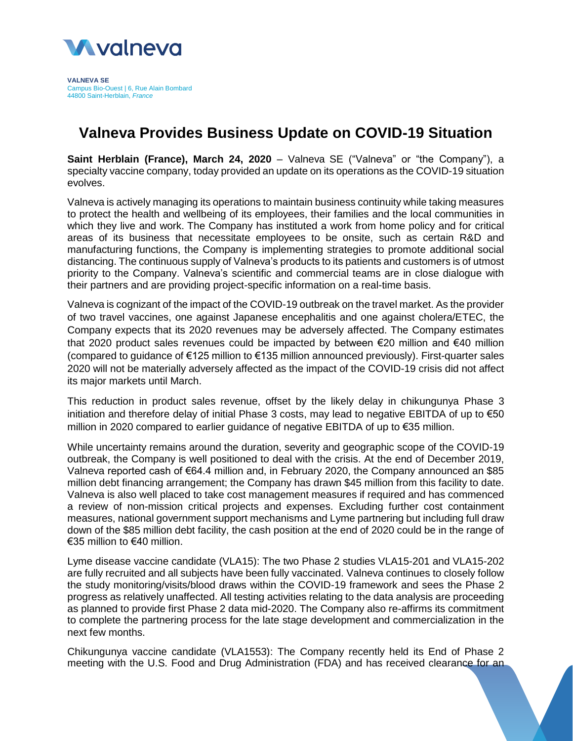

**VALNEVA SE** Campus Bio-Ouest | 6, Rue Alain Bombard 44800 Saint-Herblain, *France*

## **Valneva Provides Business Update on COVID-19 Situation**

**Saint Herblain (France), March 24, 2020** – Valneva SE ("Valneva" or "the Company"), a specialty vaccine company, today provided an update on its operations as the COVID-19 situation evolves.

Valneva is actively managing its operations to maintain business continuity while taking measures to protect the health and wellbeing of its employees, their families and the local communities in which they live and work. The Company has instituted a work from home policy and for critical areas of its business that necessitate employees to be onsite, such as certain R&D and manufacturing functions, the Company is implementing strategies to promote additional social distancing. The continuous supply of Valneva's products to its patients and customers is of utmost priority to the Company. Valneva's scientific and commercial teams are in close dialogue with their partners and are providing project-specific information on a real-time basis.

Valneva is cognizant of the impact of the COVID-19 outbreak on the travel market. As the provider of two travel vaccines, one against Japanese encephalitis and one against cholera/ETEC, the Company expects that its 2020 revenues may be adversely affected. The Company estimates that 2020 product sales revenues could be impacted by between  $\epsilon$ 20 million and  $\epsilon$ 40 million (compared to guidance of €125 million to €135 million announced previously). First-quarter sales 2020 will not be materially adversely affected as the impact of the COVID-19 crisis did not affect its major markets until March.

This reduction in product sales revenue, offset by the likely delay in chikungunya Phase 3 initiation and therefore delay of initial Phase 3 costs, may lead to negative EBITDA of up to €50 million in 2020 compared to earlier guidance of negative EBITDA of up to €35 million.

While uncertainty remains around the duration, severity and geographic scope of the COVID-19 outbreak, the Company is well positioned to deal with the crisis. At the end of December 2019, Valneva reported cash of €64.4 million and, in February 2020, the Company announced an \$85 million debt financing arrangement; the Company has drawn \$45 million from this facility to date. Valneva is also well placed to take cost management measures if required and has commenced a review of non-mission critical projects and expenses. Excluding further cost containment measures, national government support mechanisms and Lyme partnering but including full draw down of the \$85 million debt facility, the cash position at the end of 2020 could be in the range of €35 million to €40 million.

Lyme disease vaccine candidate (VLA15): The two Phase 2 studies VLA15-201 and VLA15-202 are fully recruited and all subjects have been fully vaccinated. Valneva continues to closely follow the study monitoring/visits/blood draws within the COVID-19 framework and sees the Phase 2 progress as relatively unaffected. All testing activities relating to the data analysis are proceeding as planned to provide first Phase 2 data mid-2020. The Company also re-affirms its commitment to complete the partnering process for the late stage development and commercialization in the next few months.

Chikungunya vaccine candidate (VLA1553): The Company recently held its End of Phase 2 meeting with the U.S. Food and Drug Administration (FDA) and has received clearance for an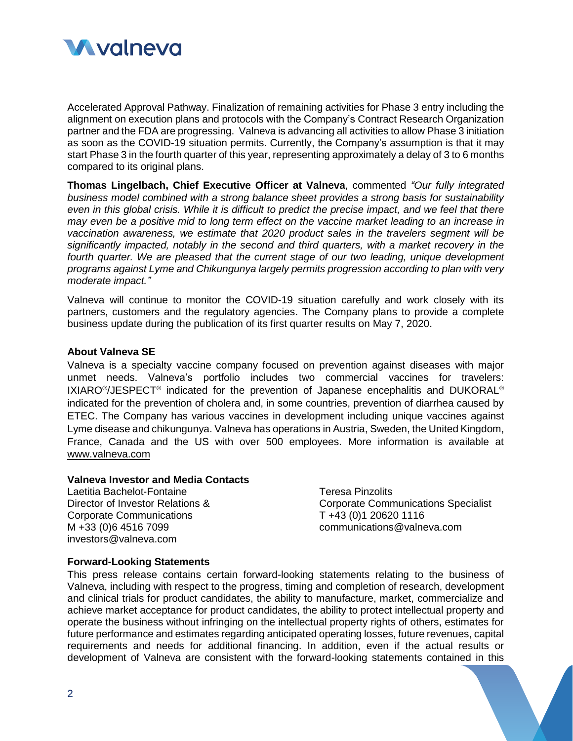

Accelerated Approval Pathway. Finalization of remaining activities for Phase 3 entry including the alignment on execution plans and protocols with the Company's Contract Research Organization partner and the FDA are progressing. Valneva is advancing all activities to allow Phase 3 initiation as soon as the COVID-19 situation permits. Currently, the Company's assumption is that it may start Phase 3 in the fourth quarter of this year, representing approximately a delay of 3 to 6 months compared to its original plans.

**Thomas Lingelbach, Chief Executive Officer at Valneva**, commented *"Our fully integrated business model combined with a strong balance sheet provides a strong basis for sustainability even in this global crisis. While it is difficult to predict the precise impact, and we feel that there may even be a positive mid to long term effect on the vaccine market leading to an increase in vaccination awareness, we estimate that 2020 product sales in the travelers segment will be significantly impacted, notably in the second and third quarters, with a market recovery in the fourth quarter. We are pleased that the current stage of our two leading, unique development programs against Lyme and Chikungunya largely permits progression according to plan with very moderate impact."*

Valneva will continue to monitor the COVID-19 situation carefully and work closely with its partners, customers and the regulatory agencies. The Company plans to provide a complete business update during the publication of its first quarter results on May 7, 2020.

## **About Valneva SE**

Valneva is a specialty vaccine company focused on prevention against diseases with major unmet needs. Valneva's portfolio includes two commercial vaccines for travelers: IXIARO<sup>®</sup>/JESPECT<sup>®</sup> indicated for the prevention of Japanese encephalitis and DUKORAL<sup>®</sup> indicated for the prevention of cholera and, in some countries, prevention of diarrhea caused by ETEC. The Company has various vaccines in development including unique vaccines against Lyme disease and chikungunya. Valneva has operations in Austria, Sweden, the United Kingdom, France, Canada and the US with over 500 employees. More information is available at [www.valneva.com](http://www.valneva.com/)

## **Valneva Investor and Media Contacts**

Laetitia Bachelot-Fontaine Director of Investor Relations & Corporate Communications M +33 (0)6 4516 7099 investors@valneva.com

Teresa Pinzolits Corporate Communications Specialist T +43 (0)1 20620 1116 communications@valneva.com

## **Forward-Looking Statements**

This press release contains certain forward-looking statements relating to the business of Valneva, including with respect to the progress, timing and completion of research, development and clinical trials for product candidates, the ability to manufacture, market, commercialize and achieve market acceptance for product candidates, the ability to protect intellectual property and operate the business without infringing on the intellectual property rights of others, estimates for future performance and estimates regarding anticipated operating losses, future revenues, capital requirements and needs for additional financing. In addition, even if the actual results or development of Valneva are consistent with the forward-looking statements contained in this